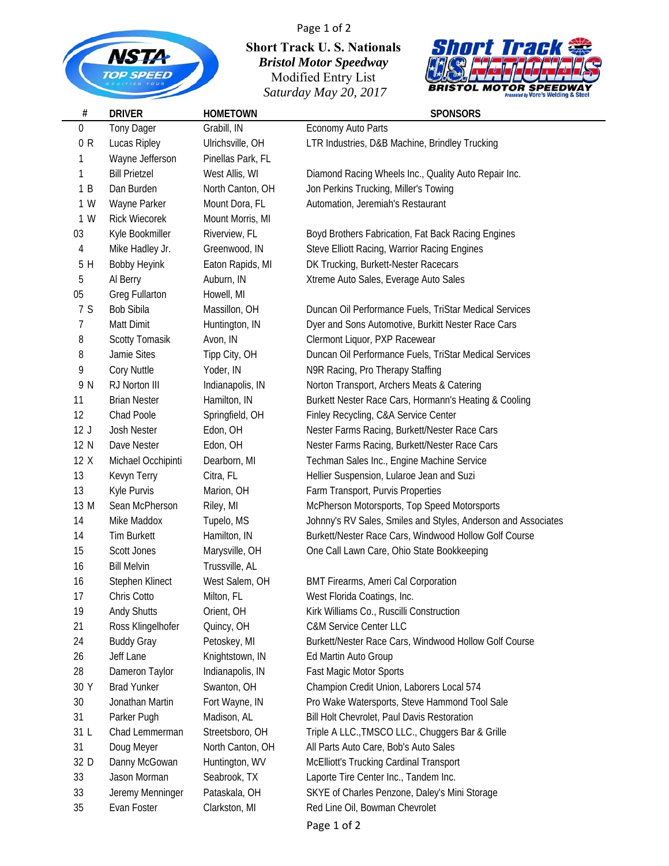

**#**

05 Greg Fullarton Howell, MI

16 Bill Melvin Trussville, AL

**Short Track U. S. Nationals** *Bristol Motor Speedway* Modified Entry List *Saturday May 20, 2017*

Page 1 of 2



## **DRIVER HOMETOWN SPONSORS** 0 Tony Dager Grabill, IN Economy Auto Parts 0 R Lucas Ripley Ulrichsville, OH LTR Industries, D&B Machine, Brindley Trucking 1 Wayne Jefferson Pinellas Park, FL 1 Bill Prietzel West Allis, WI Diamond Racing Wheels Inc., Quality Auto Repair Inc. 1 B Dan Burden North Canton, OH Jon Perkins Trucking, Miller's Towing 1 W Wayne Parker Mount Dora, FL Automation, Jeremiah's Restaurant 1 W Rick Wiecorek Mount Morris, MI

03 Kyle Bookmiller Riverview, FL Boyd Brothers Fabrication, Fat Back Racing Engines 4 Mike Hadley Jr. Greenwood, IN Steve Elliott Racing, Warrior Racing Engines 5 H Bobby Heyink Eaton Rapids, MI DK Trucking, Burkett-Nester Racecars 5 Al Berry Auburn, IN Xtreme Auto Sales, Everage Auto Sales

7 S Bob Sibila Massillon, OH Duncan Oil Performance Fuels, TriStar Medical Services 7 Matt Dimit Huntington, IN Dyer and Sons Automotive, Burkitt Nester Race Cars 8 Scotty Tomasik Avon, IN Clermont Liquor, PXP Racewear 8 Jamie Sites Tipp City, OH Duncan Oil Performance Fuels, TriStar Medical Services 9 Cory Nuttle Yoder, IN N9R Racing, Pro Therapy Staffing 9 N RJ Norton III Indianapolis, IN Norton Transport, Archers Meats & Catering 11 Brian Nester Hamilton, IN Burkett Nester Race Cars, Hormann's Heating & Cooling 12 Chad Poole Springfield, OH Finley Recycling, C&A Service Center 12 J Josh Nester **Edon, OH** Nester Farms Racing, Burkett/Nester Race Cars 12 N Dave Nester **Edon, OH** Nester Farms Racing, Burkett/Nester Race Cars 12 X Michael Occhipinti Dearborn, MI Techman Sales Inc., Engine Machine Service 13 Kevyn Terry Citra, FL Hellier Suspension, Lularoe Jean and Suzi 13 Kyle Purvis Marion, OH Farm Transport, Purvis Properties 13 M Sean McPherson Riley, MI McPherson Motorsports, Top Speed Motorsports 14 Mike Maddox Tupelo, MS Johnny's RV Sales, Smiles and Styles, Anderson and Associates 14 Tim Burkett Hamilton, IN Burkett/Nester Race Cars, Windwood Hollow Golf Course 15 Scott Jones Marysville, OH One Call Lawn Care, Ohio State Bookkeeping

16 Stephen Klinect West Salem, OH BMT Firearms, Ameri Cal Corporation 17 Chris Cotto Milton, FL West Florida Coatings, Inc. 19 Andy Shutts Orient, OH Kirk Williams Co., Ruscilli Construction 21 Ross Klingelhofer Quincy, OH C&M Service Center LLC 24 Buddy Gray Petoskey, MI Burkett/Nester Race Cars, Windwood Hollow Golf Course 26 Jeff Lane Knightstown, IN Ed Martin Auto Group 28 Dameron Taylor Indianapolis, IN Fast Magic Motor Sports 30 Y Brad Yunker Swanton, OH Champion Credit Union, Laborers Local 574 30 Jonathan Martin Fort Wayne, IN Pro Wake Watersports, Steve Hammond Tool Sale 31 Parker Pugh Madison, AL Bill Holt Chevrolet, Paul Davis Restoration 31 L Chad Lemmerman Streetsboro, OH Triple A LLC.,TMSCO LLC., Chuggers Bar & Grille 31 Doug Meyer North Canton, OH All Parts Auto Care, Bob's Auto Sales 32 D Danny McGowan Huntington, WV McElliott's Trucking Cardinal Transport 33 Jason Morman Seabrook, TX Laporte Tire Center Inc., Tandem Inc. 33 Jeremy Menninger Pataskala, OH SKYE of Charles Penzone, Daley's Mini Storage 35 Evan Foster Clarkston, MI Red Line Oil, Bowman Chevrolet

Page 1 of 2